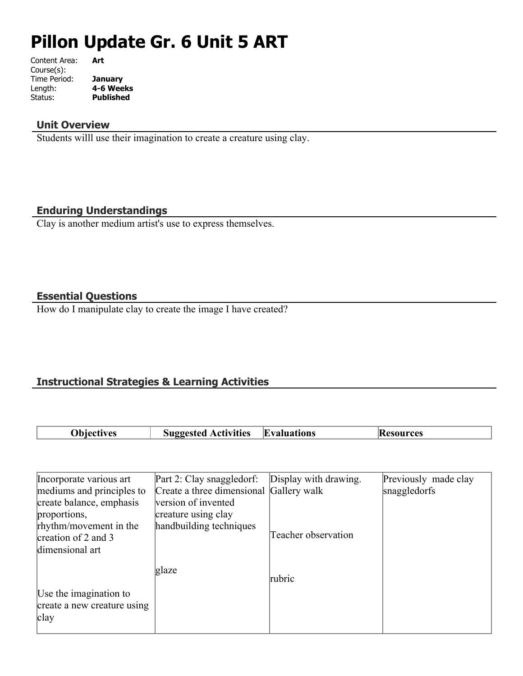# **Pillon Update Gr. 6 Unit 5 ART**

Content Area: **Art** Course(s): Time Period: **January** Length: **4-6 Weeks** Status: **Published**

#### **Unit Overview**

Students willl use their imagination to create a creature using clay.

#### **Enduring Understandings**

Clay is another medium artist's use to express themselves.

#### **Essential Questions**

How do I manipulate clay to create the image I have created?

### **Instructional Strategies & Learning Activities**

| <b>Objectives</b> | <b>Suggested Activities</b> Evaluations | Kesources |
|-------------------|-----------------------------------------|-----------|

| Incorporate various art     | Part 2: Clay snaggledorf:               | Display with drawing. | Previously made clay |
|-----------------------------|-----------------------------------------|-----------------------|----------------------|
| mediums and principles to   | Create a three dimensional Gallery walk |                       | snaggledorfs         |
| create balance, emphasis    | version of invented                     |                       |                      |
| proportions,                | creature using clay                     |                       |                      |
| rhythm/movement in the      | handbuilding techniques                 |                       |                      |
| creation of 2 and 3         |                                         | Teacher observation   |                      |
| dimensional art             |                                         |                       |                      |
|                             |                                         |                       |                      |
|                             | glaze                                   | rubric                |                      |
|                             |                                         |                       |                      |
| Use the imagination to      |                                         |                       |                      |
| create a new creature using |                                         |                       |                      |
| clay                        |                                         |                       |                      |
|                             |                                         |                       |                      |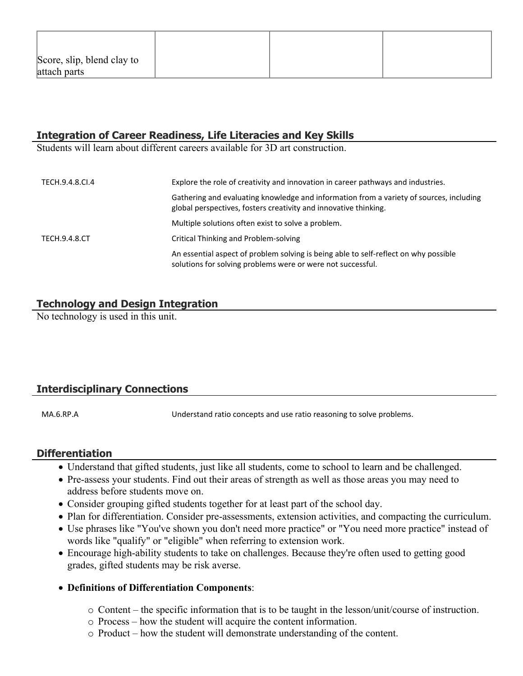| Score, slip, blend clay to |  |  |
|----------------------------|--|--|
| attach parts               |  |  |

## **Integration of Career Readiness, Life Literacies and Key Skills**

Students will learn about different careers available for 3D art construction.

| TECH.9.4.8.CI.4 | Explore the role of creativity and innovation in career pathways and industries.                                                                            |  |
|-----------------|-------------------------------------------------------------------------------------------------------------------------------------------------------------|--|
|                 | Gathering and evaluating knowledge and information from a variety of sources, including<br>global perspectives, fosters creativity and innovative thinking. |  |
|                 | Multiple solutions often exist to solve a problem.                                                                                                          |  |
| TECH.9.4.8.CT   | Critical Thinking and Problem-solving                                                                                                                       |  |
|                 | An essential aspect of problem solving is being able to self-reflect on why possible<br>solutions for solving problems were or were not successful.         |  |

#### **Technology and Design Integration**

No technology is used in this unit.

#### **Interdisciplinary Connections**

MA.6.RP.A Understand ratio concepts and use ratio reasoning to solve problems.

#### **Differentiation**

- Understand that gifted students, just like all students, come to school to learn and be challenged.
- Pre-assess your students. Find out their areas of strength as well as those areas you may need to address before students move on.
- Consider grouping gifted students together for at least part of the school day.
- Plan for differentiation. Consider pre-assessments, extension activities, and compacting the curriculum.
- Use phrases like "You've shown you don't need more practice" or "You need more practice" instead of words like "qualify" or "eligible" when referring to extension work.
- Encourage high-ability students to take on challenges. Because they're often used to getting good grades, gifted students may be risk averse.
- **Definitions of Differentiation Components**:
	- o Content the specific information that is to be taught in the lesson/unit/course of instruction.
	- o Process how the student will acquire the content information.
	- o Product how the student will demonstrate understanding of the content.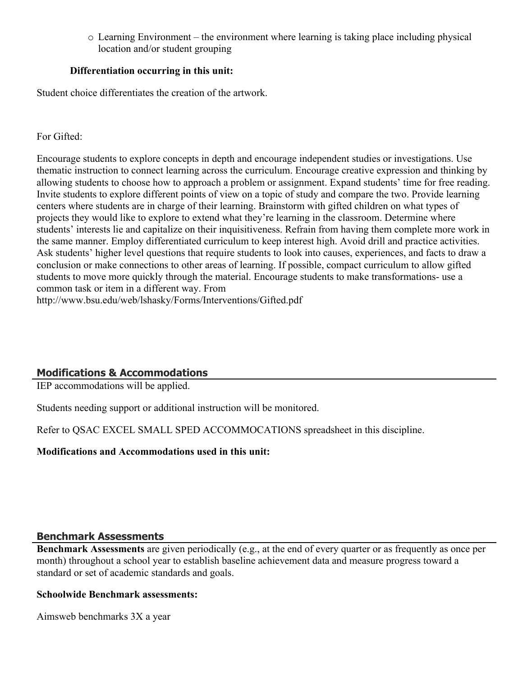o Learning Environment – the environment where learning is taking place including physical location and/or student grouping

#### **Differentiation occurring in this unit:**

Student choice differentiates the creation of the artwork.

#### For Gifted:

Encourage students to explore concepts in depth and encourage independent studies or investigations. Use thematic instruction to connect learning across the curriculum. Encourage creative expression and thinking by allowing students to choose how to approach a problem or assignment. Expand students' time for free reading. Invite students to explore different points of view on a topic of study and compare the two. Provide learning centers where students are in charge of their learning. Brainstorm with gifted children on what types of projects they would like to explore to extend what they're learning in the classroom. Determine where students' interests lie and capitalize on their inquisitiveness. Refrain from having them complete more work in the same manner. Employ differentiated curriculum to keep interest high. Avoid drill and practice activities. Ask students' higher level questions that require students to look into causes, experiences, and facts to draw a conclusion or make connections to other areas of learning. If possible, compact curriculum to allow gifted students to move more quickly through the material. Encourage students to make transformations- use a common task or item in a different way. From http://www.bsu.edu/web/lshasky/Forms/Interventions/Gifted.pdf

#### **Modifications & Accommodations**

IEP accommodations will be applied.

Students needing support or additional instruction will be monitored.

Refer to QSAC EXCEL SMALL SPED ACCOMMOCATIONS spreadsheet in this discipline.

#### **Modifications and Accommodations used in this unit:**

#### **Benchmark Assessments**

**Benchmark Assessments** are given periodically (e.g., at the end of every quarter or as frequently as once per month) throughout a school year to establish baseline achievement data and measure progress toward a standard or set of academic standards and goals.

#### **Schoolwide Benchmark assessments:**

Aimsweb benchmarks 3X a year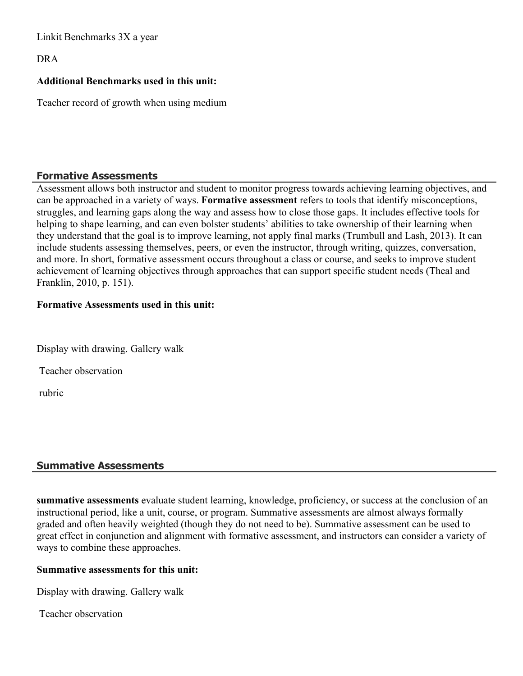Linkit Benchmarks 3X a year

DRA

#### **Additional Benchmarks used in this unit:**

Teacher record of growth when using medium

#### **Formative Assessments**

Assessment allows both instructor and student to monitor progress towards achieving learning objectives, and can be approached in a variety of ways. **Formative assessment** refers to tools that identify misconceptions, struggles, and learning gaps along the way and assess how to close those gaps. It includes effective tools for helping to shape learning, and can even bolster students' abilities to take ownership of their learning when they understand that the goal is to improve learning, not apply final marks (Trumbull and Lash, 2013). It can include students assessing themselves, peers, or even the instructor, through writing, quizzes, conversation, and more. In short, formative assessment occurs throughout a class or course, and seeks to improve student achievement of learning objectives through approaches that can support specific student needs (Theal and Franklin, 2010, p. 151).

#### **Formative Assessments used in this unit:**

|  | Display with drawing. Gallery walk |  |
|--|------------------------------------|--|
|  |                                    |  |

Teacher observation

rubric

#### **Summative Assessments**

**summative assessments** evaluate student learning, knowledge, proficiency, or success at the conclusion of an instructional period, like a unit, course, or program. Summative assessments are almost always formally graded and often heavily weighted (though they do not need to be). Summative assessment can be used to great effect in conjunction and alignment with formative assessment, and instructors can consider a variety of ways to combine these approaches.

#### **Summative assessments for this unit:**

Display with drawing. Gallery walk

Teacher observation